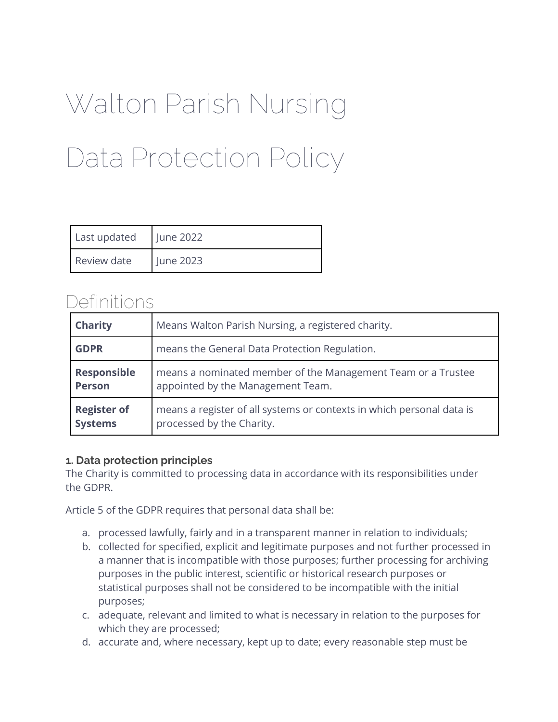# Walton Parish Nursing Data Protection Policy

| Last updated | June 2022 |
|--------------|-----------|
| Review date  | June 2023 |

# Definitions

| <b>Charity</b>     | Means Walton Parish Nursing, a registered charity.                    |
|--------------------|-----------------------------------------------------------------------|
| <b>GDPR</b>        | means the General Data Protection Regulation.                         |
| <b>Responsible</b> | means a nominated member of the Management Team or a Trustee          |
| <b>Person</b>      | appointed by the Management Team.                                     |
| <b>Register of</b> | means a register of all systems or contexts in which personal data is |
| <b>Systems</b>     | processed by the Charity.                                             |

#### **1. Data protection principles**

The Charity is committed to processing data in accordance with its responsibilities under the GDPR.

Article 5 of the GDPR requires that personal data shall be:

- a. processed lawfully, fairly and in a transparent manner in relation to individuals;
- b. collected for specified, explicit and legitimate purposes and not further processed in a manner that is incompatible with those purposes; further processing for archiving purposes in the public interest, scientific or historical research purposes or statistical purposes shall not be considered to be incompatible with the initial purposes;
- c. adequate, relevant and limited to what is necessary in relation to the purposes for which they are processed;
- d. accurate and, where necessary, kept up to date; every reasonable step must be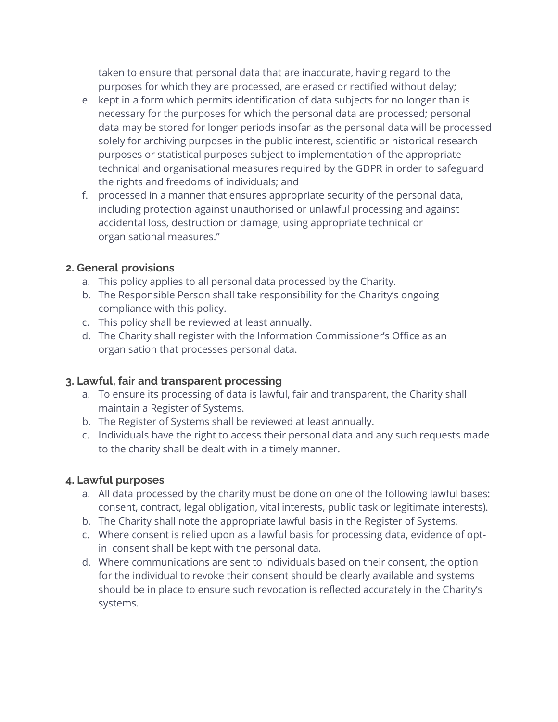taken to ensure that personal data that are inaccurate, having regard to the purposes for which they are processed, are erased or rectified without delay;

- e. kept in a form which permits identification of data subjects for no longer than is necessary for the purposes for which the personal data are processed; personal data may be stored for longer periods insofar as the personal data will be processed solely for archiving purposes in the public interest, scientific or historical research purposes or statistical purposes subject to implementation of the appropriate technical and organisational measures required by the GDPR in order to safeguard the rights and freedoms of individuals; and
- f. processed in a manner that ensures appropriate security of the personal data, including protection against unauthorised or unlawful processing and against accidental loss, destruction or damage, using appropriate technical or organisational measures."

#### **2. General provisions**

- a. This policy applies to all personal data processed by the Charity.
- b. The Responsible Person shall take responsibility for the Charity's ongoing compliance with this policy.
- c. This policy shall be reviewed at least annually.
- d. The Charity shall register with the Information Commissioner's Office as an organisation that processes personal data.

## **3. Lawful, fair and transparent processing**

- a. To ensure its processing of data is lawful, fair and transparent, the Charity shall maintain a Register of Systems.
- b. The Register of Systems shall be reviewed at least annually.
- c. Individuals have the right to access their personal data and any such requests made to the charity shall be dealt with in a timely manner.

## **4. Lawful purposes**

- a. All data processed by the charity must be done on one of the following lawful bases: consent, contract, legal obligation, vital interests, public task or legitimate interests).
- b. The Charity shall note the appropriate lawful basis in the Register of Systems.
- c. Where consent is relied upon as a lawful basis for processing data, evidence of optin consent shall be kept with the personal data.
- d. Where communications are sent to individuals based on their consent, the option for the individual to revoke their consent should be clearly available and systems should be in place to ensure such revocation is reflected accurately in the Charity's systems.